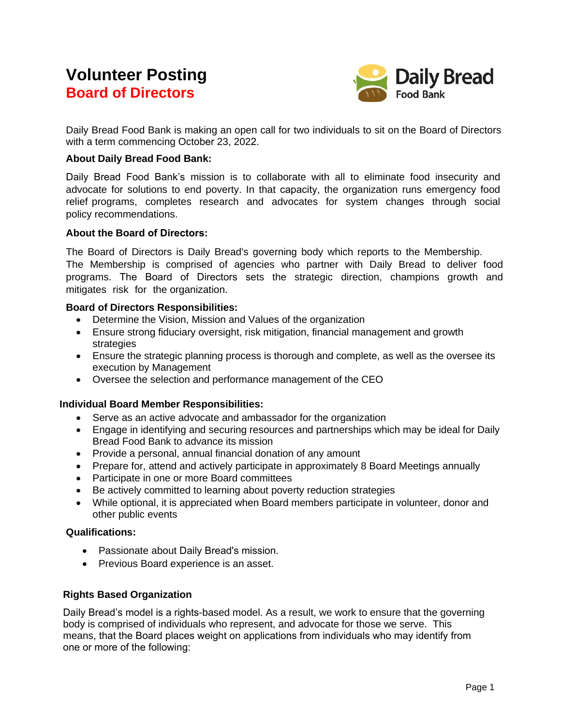# **Volunteer Posting Board of Directors**



Daily Bread Food Bank is making an open call for two individuals to sit on the Board of Directors with a term commencing October 23, 2022.

#### **About Daily Bread Food Bank:**

Daily Bread Food Bank's mission is to collaborate with all to eliminate food insecurity and advocate for solutions to end poverty. In that capacity, the organization runs emergency food relief programs, completes research and advocates for system changes through social policy recommendations.

### **About the Board of Directors:**

The Board of Directors is Daily Bread's governing body which reports to the Membership.

The Membership is comprised of agencies who partner with Daily Bread to deliver food programs. The Board of Directors sets the strategic direction, champions growth and mitigates risk for the organization.

### **Board of Directors Responsibilities:**

- Determine the Vision, Mission and Values of the organization
- Ensure strong fiduciary oversight, risk mitigation, financial management and growth strategies
- Ensure the strategic planning process is thorough and complete, as well as the oversee its execution by Management
- Oversee the selection and performance management of the CEO

## **Individual Board Member Responsibilities:**

- Serve as an active advocate and ambassador for the organization
- Engage in identifying and securing resources and partnerships which may be ideal for Daily Bread Food Bank to advance its mission
- Provide a personal, annual financial donation of any amount
- Prepare for, attend and actively participate in approximately 8 Board Meetings annually
- Participate in one or more Board committees
- Be actively committed to learning about poverty reduction strategies
- While optional, it is appreciated when Board members participate in volunteer, donor and other public events

#### **Qualifications:**

- Passionate about Daily Bread's mission.
- Previous Board experience is an asset.

## **Rights Based Organization**

Daily Bread's model is a rights-based model. As a result, we work to ensure that the governing body is comprised of individuals who represent, and advocate for those we serve. This means, that the Board places weight on applications from individuals who may identify from one or more of the following: